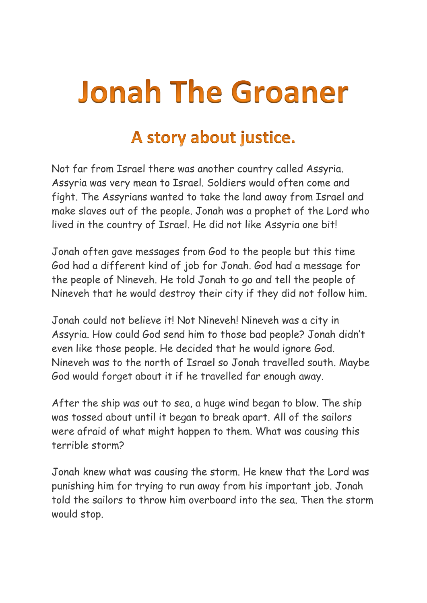## **Jonah The Groaner**

## A story about justice.

Not far from Israel there was another country called Assyria. Assyria was very mean to Israel. Soldiers would often come and fight. The Assyrians wanted to take the land away from Israel and make slaves out of the people. Jonah was a prophet of the Lord who lived in the country of Israel. He did not like Assyria one bit!

Jonah often gave messages from God to the people but this time God had a different kind of job for Jonah. God had a message for the people of Nineveh. He told Jonah to go and tell the people of Nineveh that he would destroy their city if they did not follow him.

Jonah could not believe it! Not Nineveh! Nineveh was a city in Assyria. How could God send him to those bad people? Jonah didn't even like those people. He decided that he would ignore God. Nineveh was to the north of Israel so Jonah travelled south. Maybe God would forget about it if he travelled far enough away.

After the ship was out to sea, a huge wind began to blow. The ship was tossed about until it began to break apart. All of the sailors were afraid of what might happen to them. What was causing this terrible storm?

Jonah knew what was causing the storm. He knew that the Lord was punishing him for trying to run away from his important job. Jonah told the sailors to throw him overboard into the sea. Then the storm would stop.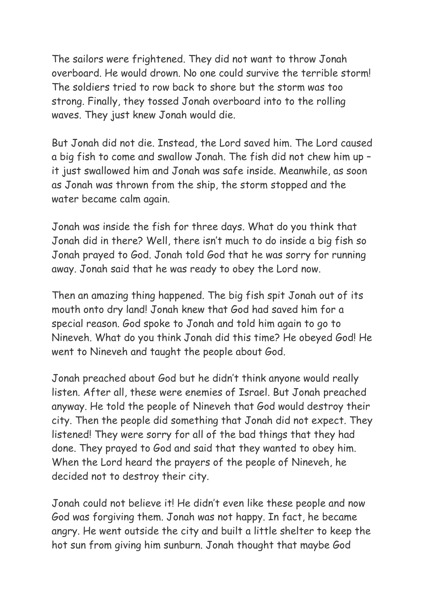The sailors were frightened. They did not want to throw Jonah overboard. He would drown. No one could survive the terrible storm! The soldiers tried to row back to shore but the storm was too strong. Finally, they tossed Jonah overboard into to the rolling waves. They just knew Jonah would die.

But Jonah did not die. Instead, the Lord saved him. The Lord caused a big fish to come and swallow Jonah. The fish did not chew him up – it just swallowed him and Jonah was safe inside. Meanwhile, as soon as Jonah was thrown from the ship, the storm stopped and the water became calm again.

Jonah was inside the fish for three days. What do you think that Jonah did in there? Well, there isn't much to do inside a big fish so Jonah prayed to God. Jonah told God that he was sorry for running away. Jonah said that he was ready to obey the Lord now.

Then an amazing thing happened. The big fish spit Jonah out of its mouth onto dry land! Jonah knew that God had saved him for a special reason. God spoke to Jonah and told him again to go to Nineveh. What do you think Jonah did this time? He obeyed God! He went to Nineveh and taught the people about God.

Jonah preached about God but he didn't think anyone would really listen. After all, these were enemies of Israel. But Jonah preached anyway. He told the people of Nineveh that God would destroy their city. Then the people did something that Jonah did not expect. They listened! They were sorry for all of the bad things that they had done. They prayed to God and said that they wanted to obey him. When the Lord heard the prayers of the people of Nineveh, he decided not to destroy their city.

Jonah could not believe it! He didn't even like these people and now God was forgiving them. Jonah was not happy. In fact, he became angry. He went outside the city and built a little shelter to keep the hot sun from giving him sunburn. Jonah thought that maybe God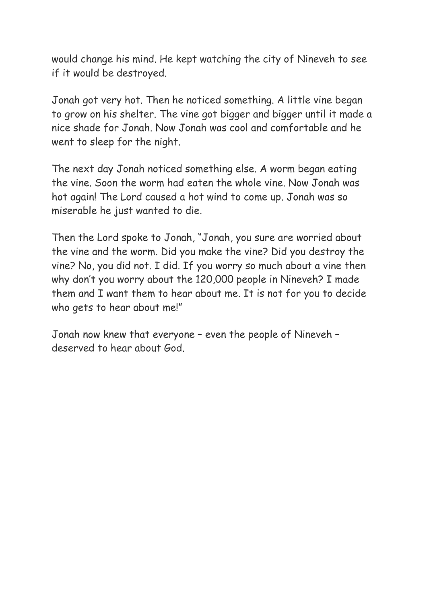would change his mind. He kept watching the city of Nineveh to see if it would be destroyed.

Jonah got very hot. Then he noticed something. A little vine began to grow on his shelter. The vine got bigger and bigger until it made a nice shade for Jonah. Now Jonah was cool and comfortable and he went to sleep for the night.

The next day Jonah noticed something else. A worm began eating the vine. Soon the worm had eaten the whole vine. Now Jonah was hot again! The Lord caused a hot wind to come up. Jonah was so miserable he just wanted to die.

Then the Lord spoke to Jonah, "Jonah, you sure are worried about the vine and the worm. Did you make the vine? Did you destroy the vine? No, you did not. I did. If you worry so much about a vine then why don't you worry about the 120,000 people in Nineveh? I made them and I want them to hear about me. It is not for you to decide who gets to hear about me!"

Jonah now knew that everyone – even the people of Nineveh – deserved to hear about God.